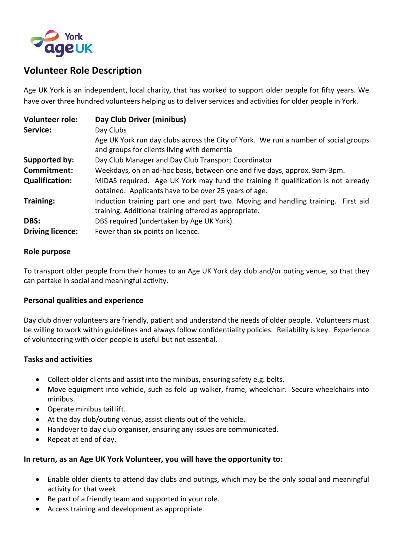

## **Volunteer Role Description**

Age UK York is an independent, local charity, that has worked to support older people for fifty years. We have over three hundred volunteers helping us to deliver services and activities for older people in York.

| <b>Volunteer role:</b>  | Day Club Driver (minibus)                                                                                                                  |
|-------------------------|--------------------------------------------------------------------------------------------------------------------------------------------|
| Service:                | Day Clubs                                                                                                                                  |
|                         | Age UK York run day clubs across the City of York. We run a number of social groups<br>and groups for clients living with dementia         |
| Supported by:           | Day Club Manager and Day Club Transport Coordinator                                                                                        |
| Commitment:             | Weekdays, on an ad-hoc basis, between one and five days, approx. 9am-3pm.                                                                  |
| <b>Qualification:</b>   | MIDAS required. Age UK York may fund the training if qualification is not already<br>obtained. Applicants have to be over 25 years of age. |
| <b>Training:</b>        | Induction training part one and part two. Moving and handling training. First aid<br>training. Additional training offered as appropriate. |
| DBS:                    | DBS required (undertaken by Age UK York).                                                                                                  |
| <b>Driving licence:</b> | Fewer than six points on licence.                                                                                                          |

#### **Role purpose**

To transport older people from their homes to an Age UK York day club and/or outing venue, so that they can partake in social and meaningful activity.

## **Personal qualities and experience**

Day club driver volunteers are friendly, patient and understand the needs of older people. Volunteers must be willing to work within guidelines and always follow confidentiality policies. Reliability is key. Experience of volunteering with older people is useful but not essential.

#### **Tasks and activities**

- Collect older clients and assist into the minibus, ensuring safety e.g. belts.
- Move equipment into vehicle, such as fold up walker, frame, wheelchair. Secure wheelchairs into minibus.
- Operate minibus tail lift.
- At the day club/outing venue, assist clients out of the vehicle.
- Handover to day club organiser, ensuring any issues are communicated.
- Repeat at end of day.

## **In return, as an Age UK York Volunteer, you will have the opportunity to:**

- Enable older clients to attend day clubs and outings, which may be the only social and meaningful activity for that week.
- Be part of a friendly team and supported in your role.
- Access training and development as appropriate.